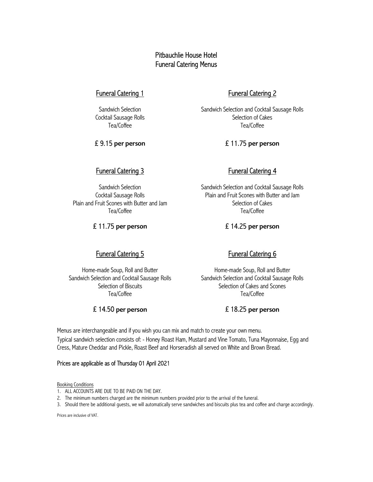## Pitbauchlie House Hotel Funeral Catering Menus

## Funeral Catering 1

Sandwich Selection Cocktail Sausage Rolls Tea/Coffee

£ 9.15 per person

## Funeral Catering 3

Sandwich Selection Cocktail Sausage Rolls Plain and Fruit Scones with Butter and Jam Tea/Coffee

£ 11.75 per person

## Funeral Catering 2

Sandwich Selection and Cocktail Sausage Rolls Selection of Cakes Tea/Coffee

£ 11.75 per person

## Funeral Catering 4

Sandwich Selection and Cocktail Sausage Rolls Plain and Fruit Scones with Butter and Jam Selection of Cakes Tea/Coffee

### £ 14.25 per person

## Funeral Catering 5

Home-made Soup, Roll and Butter Sandwich Selection and Cocktail Sausage Rolls Selection of Biscuits Tea/Coffee

#### £ 14.50 per person

## Funeral Catering 6

Home-made Soup, Roll and Butter Sandwich Selection and Cocktail Sausage Rolls Selection of Cakes and Scones Tea/Coffee

#### £ 18.25 per person

Menus are interchangeable and if you wish you can mix and match to create your own menu. Typical sandwich selection consists of: - Honey Roast Ham, Mustard and Vine Tomato, Tuna Mayonnaise, Egg and Cress, Mature Cheddar and Pickle, Roast Beef and Horseradish all served on White and Brown Bread.

#### Prices are applicable as of Thursday 01 April 2021

**Booking Conditions** 

- 1. ALL ACCOUNTS ARE DUE TO BE PAID ON THE DAY.
- 2. The minimum numbers charged are the minimum numbers provided prior to the arrival of the funeral.
- 3. Should there be additional guests, we will automatically serve sandwiches and biscuits plus tea and coffee and charge accordingly.

Prices are inclusive of VAT.